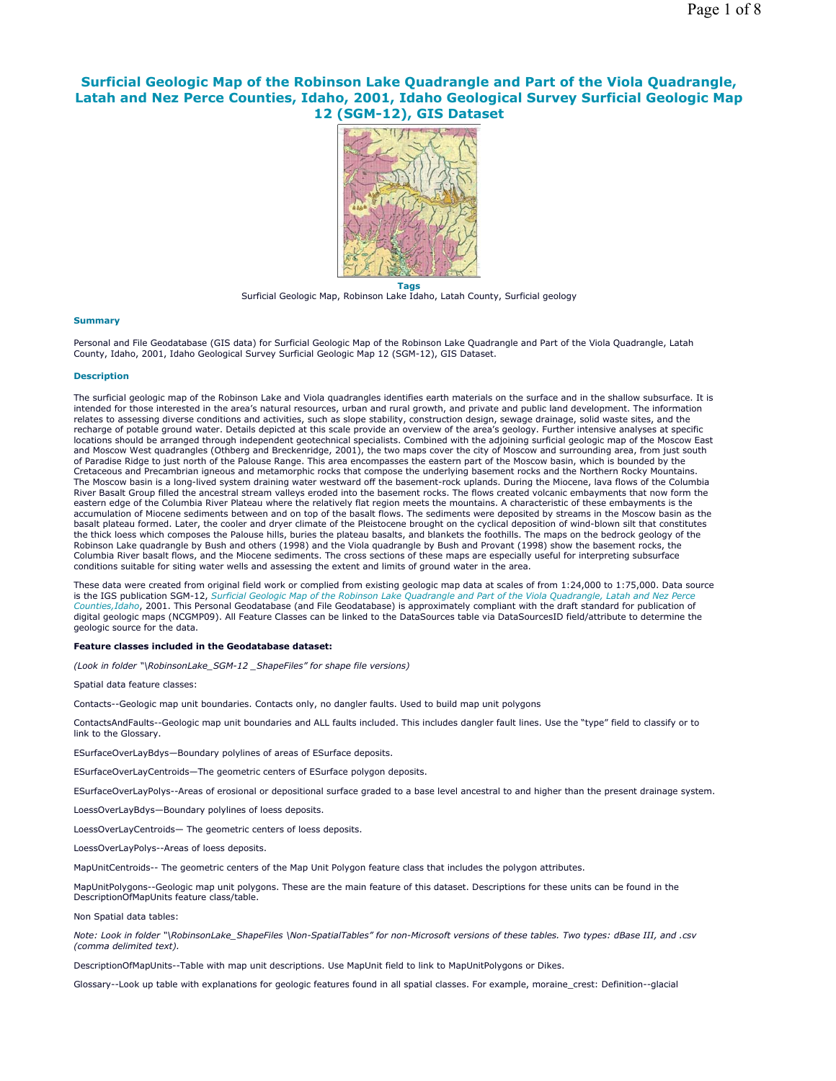# **Surficial Geologic Map of the Robinson Lake Quadrangle and Part of the Viola Quadrangle, Latah and Nez Perce Counties, Idaho, 2001, Idaho Geological Survey Surficial Geologic Map 12 (SGM-12), GIS Dataset**



**Tags** Surficial Geologic Map, Robinson Lake Idaho, Latah County, Surficial geology

# **Summary**

Personal and File Geodatabase (GIS data) for Surficial Geologic Map of the Robinson Lake Quadrangle and Part of the Viola Quadrangle, Latah County, Idaho, 2001, Idaho Geological Survey Surficial Geologic Map 12 (SGM-12), GIS Dataset.

### **Description**

The surficial geologic map of the Robinson Lake and Viola quadrangles identifies earth materials on the surface and in the shallow subsurface. It is intended for those interested in the area's natural resources, urban and rural growth, and private and public land development. The information relates to assessing diverse conditions and activities, such as slope stability, construction design, sewage drainage, solid waste sites, and the recharge of potable ground water. Details depicted at this scale provide an overview of the area's geology. Further intensive analyses at specific locations should be arranged through independent geotechnical specialists. Combined with the adjoining surficial geologic map of the Moscow East and Moscow West quadrangles (Othberg and Breckenridge, 2001), the two maps cover the city of Moscow and surrounding area, from just south of Paradise Ridge to just north of the Palouse Range. This area encompasses the eastern part of the Moscow basin, which is bounded by the Cretaceous and Precambrian igneous and metamorphic rocks that compose the underlying basement rocks and the Northern Rocky Mountains. The Moscow basin is a long-lived system draining water westward off the basement-rock uplands. During the Miocene, lava flows of the Columbia River Basalt Group filled the ancestral stream valleys eroded into the basement rocks. The flows created volcanic embayments that now form the eastern edge of the Columbia River Plateau where the relatively flat region meets the mountains. A characteristic of these embayments is the accumulation of Miocene sediments between and on top of the basalt flows. The sediments were deposited by streams in the Moscow basin as the basalt plateau formed. Later, the cooler and dryer climate of the Pleistocene brought on the cyclical deposition of wind-blown silt that constitutes the thick loess which composes the Palouse hills, buries the plateau basalts, and blankets the foothills. The maps on the bedrock geology of the Robinson Lake quadrangle by Bush and others (1998) and the Viola quadrangle by Bush and Provant (1998) show the basement rocks, the Columbia River basalt flows, and the Miocene sediments. The cross sections of these maps are especially useful for interpreting subsurface conditions suitable for siting water wells and assessing the extent and limits of ground water in the area.

These data were created from original field work or complied from existing geologic map data at scales of from 1:24,000 to 1:75,000. Data source is the IGS publication SGM-12, *Surficial Geologic Map of the Robinson Lake Quadrangle and Part of the Viola Quadrangle, Latah and Nez Perce Counties,Idaho*, 2001. This Personal Geodatabase (and File Geodatabase) is approximately compliant with the draft standard for publication of digital geologic maps (NCGMP09). All Feature Classes can be linked to the DataSources table via DataSourcesID field/attribute to determine the geologic source for the data.

# **Feature classes included in the Geodatabase dataset:**

*(Look in folder "\RobinsonLake\_SGM-12 \_ShapeFiles" for shape file versions)*

### Spatial data feature classes:

Contacts--Geologic map unit boundaries. Contacts only, no dangler faults. Used to build map unit polygons

ContactsAndFaults--Geologic map unit boundaries and ALL faults included. This includes dangler fault lines. Use the "type" field to classify or to link to the Glossary.

ESurfaceOverLayBdys—Boundary polylines of areas of ESurface deposits.

ESurfaceOverLayCentroids—The geometric centers of ESurface polygon deposits.

ESurfaceOverLayPolys--Areas of erosional or depositional surface graded to a base level ancestral to and higher than the present drainage system.

LoessOverLayBdys—Boundary polylines of loess deposits.

LoessOverLayCentroids— The geometric centers of loess deposits.

LoessOverLayPolys--Areas of loess deposits.

MapUnitCentroids-- The geometric centers of the Map Unit Polygon feature class that includes the polygon attributes.

MapUnitPolygons--Geologic map unit polygons. These are the main feature of this dataset. Descriptions for these units can be found in the DescriptionOfMapUnits feature class/table.

Non Spatial data tables:

*Note: Look in folder "\RobinsonLake\_ShapeFiles \Non-SpatialTables" for non-Microsoft versions of these tables. Two types: dBase III, and .csv (comma delimited text).* 

DescriptionOfMapUnits--Table with map unit descriptions. Use MapUnit field to link to MapUnitPolygons or Dikes.

Glossary--Look up table with explanations for geologic features found in all spatial classes. For example, moraine\_crest: Definition--glacial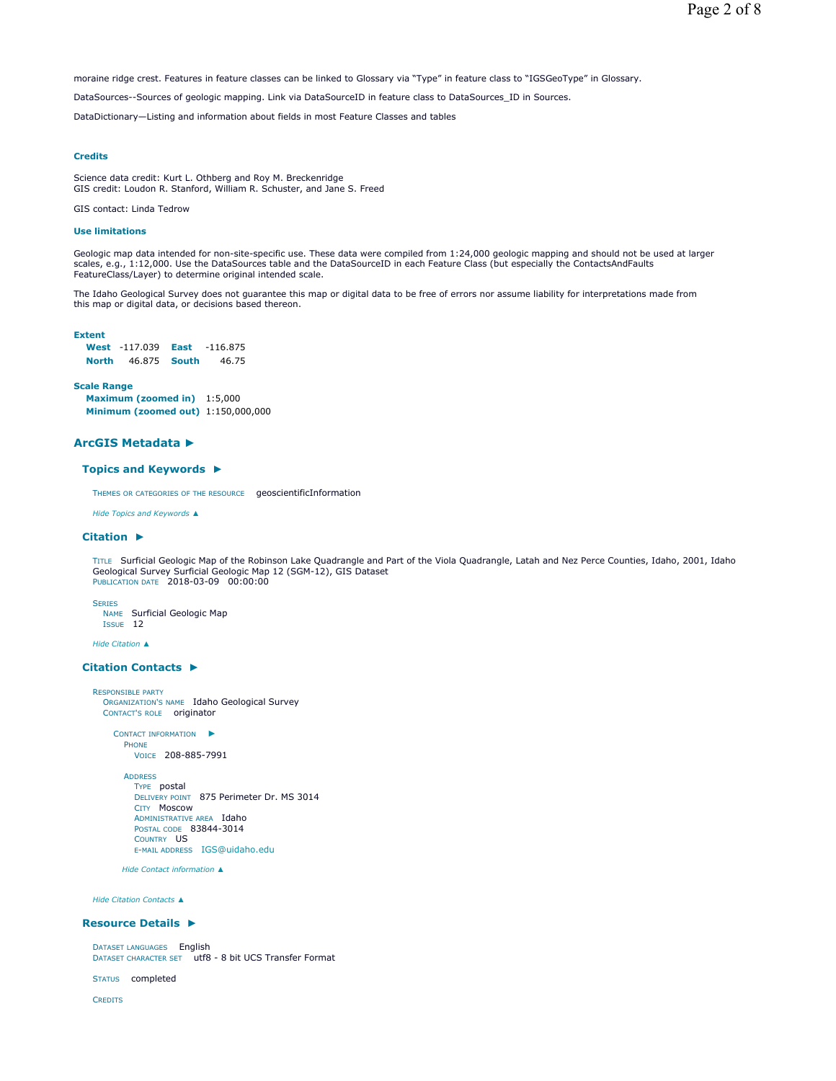moraine ridge crest. Features in feature classes can be linked to Glossary via "Type" in feature class to "IGSGeoType" in Glossary.

DataSources--Sources of geologic mapping. Link via DataSourceID in feature class to DataSources\_ID in Sources.

DataDictionary—Listing and information about fields in most Feature Classes and tables

# **Credits**

Science data credit: Kurt L. Othberg and Roy M. Breckenridge GIS credit: Loudon R. Stanford, William R. Schuster, and Jane S. Freed

GIS contact: Linda Tedrow

# **Use limitations**

Geologic map data intended for non-site-specific use. These data were compiled from 1:24,000 geologic mapping and should not be used at larger scales, e.g., 1:12,000. Use the DataSources table and the DataSourceID in each Feature Class (but especially the ContactsAndFaults FeatureClass/Layer) to determine original intended scale.

The Idaho Geological Survey does not guarantee this map or digital data to be free of errors nor assume liability for interpretations made from this map or digital data, or decisions based thereon.

# **Extent**

|              | <b>West -117.039 East</b> | $-116.875$ |
|--------------|---------------------------|------------|
| <b>North</b> | 46.875 <b>South</b>       | 46.75      |

# **Scale Range**

**Maximum (zoomed in)** 1:5,000 **Minimum (zoomed out)** 1:150,000,000

# **ArcGIS Metadata ►**

### **Topics and Keywords ►**

THEMES OR CATEGORIES OF THE RESOURCE geoscientificInformation

*Hide Topics and Keywords ▲*

### **Citation ►**

TITLE Surficial Geologic Map of the Robinson Lake Quadrangle and Part of the Viola Quadrangle, Latah and Nez Perce Counties, Idaho, 2001, Idaho Geological Survey Surficial Geologic Map 12 (SGM-12), GIS Dataset PUBLICATION DATE 2018-03-09 00:00:00

**SERIES** 

NAME Surficial Geologic Map ISSUE 12

*Hide Citation ▲*

### **Citation Contacts ►**

RESPONSIBLE PARTY ORGANIZATION'S NAME Idaho Geological Survey CONTACT'S ROLE originator

```
CONTACT INFORMATION
►
 PHONE
```
VOICE 208-885-7991

```
ADDRESS
  TYPE postal 
 DELIVERY POINT 875 Perimeter Dr. MS 3014 
  CITY Moscow 
  ADMINISTRATIVE AREA Idaho
 POSTAL CODE 83844-3014 
 COUNTRY US 
  E-MAIL ADDRESS IGS@uidaho.edu
```
*Hide Contact information ▲*

*Hide Citation Contacts ▲*

### **Resource Details ►**

DATASET LANGUAGES English DATASET CHARACTER SET utf8 - 8 bit UCS Transfer Format

STATUS completed

**CREDITS**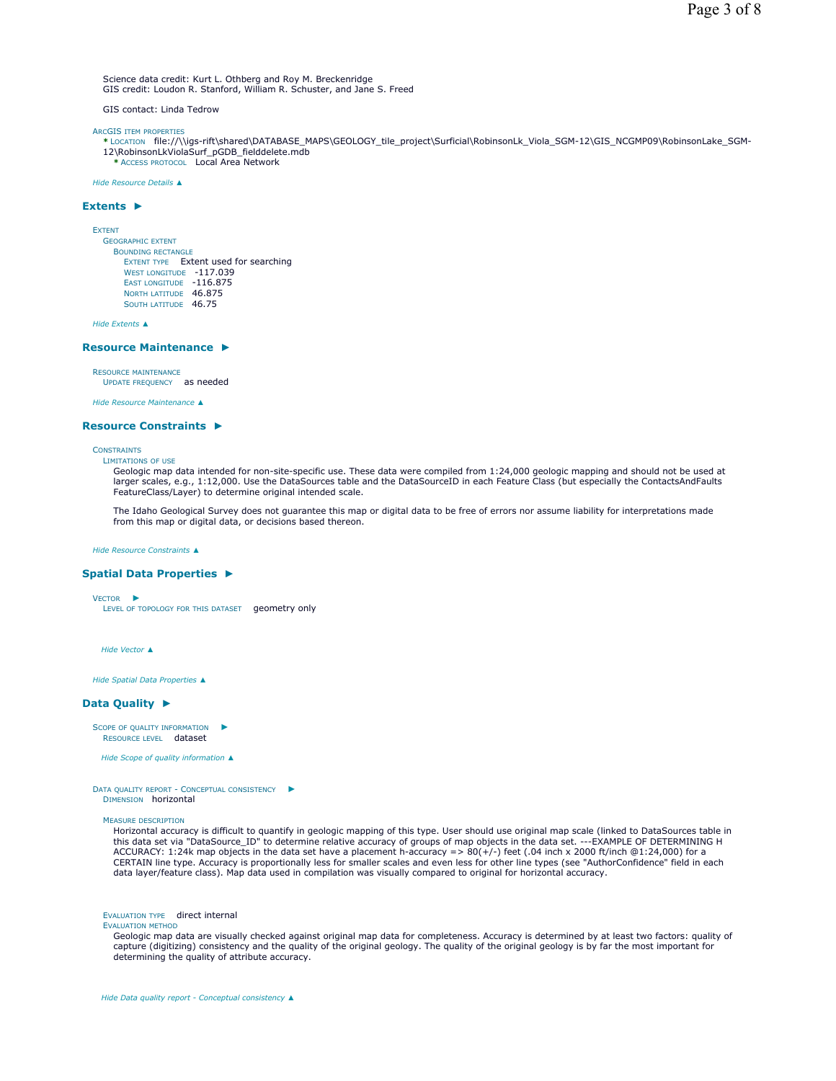Science data credit: Kurt L. Othberg and Roy M. Breckenridge GIS credit: Loudon R. Stanford, William R. Schuster, and Jane S. Freed

GIS contact: Linda Tedrow

ARCGIS ITEM PROPERTIES

**\*** LOCATION file://\\igs-rift\shared\DATABASE\_MAPS\GEOLOGY\_tile\_project\Surficial\RobinsonLk\_Viola\_SGM-12\GIS\_NCGMP09\RobinsonLake\_SGM-12\RobinsonLkViolaSurf\_pGDB\_fielddelete.mdb **\*** ACCESS PROTOCOL Local Area Network

*Hide Resource Details ▲*

### **Extents ►**

EXTENT

GEOGRAPHIC EXTENT BOUNDING RECTANGLE EXTENT TYPE Extent used for searching WEST LONGITUDE -117.039 EAST LONGITUDE -116.875 NORTH LATITUDE 46.875 SOUTH LATITUDE 46.75

*Hide Extents ▲*

### **Resource Maintenance ►**

RESOURCE MAINTENANCE

UPDATE FREQUENCY as needed

*Hide Resource Maintenance ▲*

### **Resource Constraints ►**

# **CONSTRAINTS**

LIMITATIONS OF USE

Geologic map data intended for non-site-specific use. These data were compiled from 1:24,000 geologic mapping and should not be used at larger scales, e.g., 1:12,000. Use the DataSources table and the DataSourceID in each Feature Class (but especially the ContactsAndFaults FeatureClass/Layer) to determine original intended scale.

The Idaho Geological Survey does not guarantee this map or digital data to be free of errors nor assume liability for interpretations made from this map or digital data, or decisions based thereon.

*Hide Resource Constraints ▲*

### **Spatial Data Properties ►**

VECTOR ►

LEVEL OF TOPOLOGY FOR THIS DATASET geometry only

*Hide Vector ▲*

*Hide Spatial Data Properties ▲*

### **Data Quality ►**

SCOPE OF QUALITY INFORMATION RESOURCE LEVEL dataset ►

*Hide Scope of quality information ▲*

DATA QUALITY REPORT - CONCEPTUAL CONSISTENCY ► DIMENSION horizontal

MEASURE DESCRIPTION

Horizontal accuracy is difficult to quantify in geologic mapping of this type. User should use original map scale (linked to DataSources table in this data set via "DataSource\_ID" to determine relative accuracy of groups of map objects in the data set. ---EXAMPLE OF DETERMINING H<br>ACCURACY: 1:24k map objects in the data set have a placement h-accuracy => 80(+/-) feet CERTAIN line type. Accuracy is proportionally less for smaller scales and even less for other line types (see "AuthorConfidence" field in each<br>data layer/feature class). Map data used in compilation was visually compared t

EVALUATION TYPE direct internal

EVALUATION METHOD

Geologic map data are visually checked against original map data for completeness. Accuracy is determined by at least two factors: quality of capture (digitizing) consistency and the quality of the original geology. The quality of the original geology is by far the most important for determining the quality of attribute accuracy.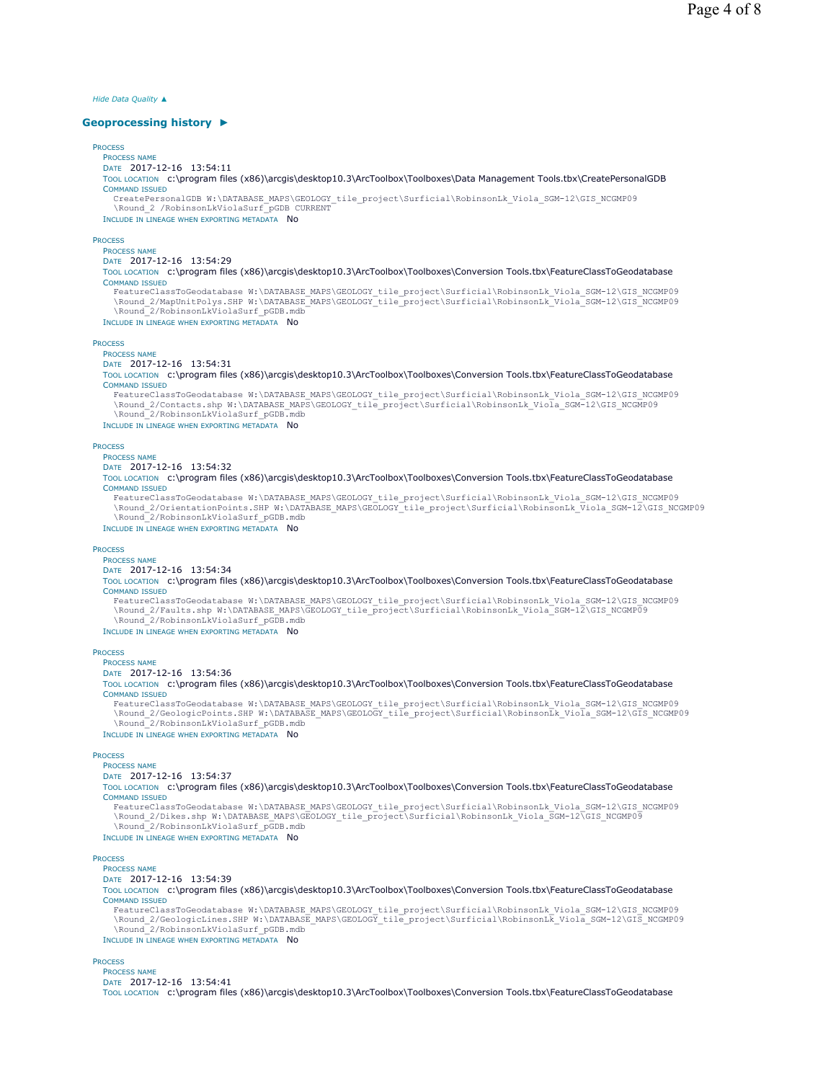*Hide Data Quality ▲*

### **Geoprocessing history ►**

# **PROCESS**

PROCESS NAME DATE 2017-12-16 13:54:11

TOOL LOCATION c:\program files (x86)\arcgis\desktop10.3\ArcToolbox\Toolboxes\Data Management Tools.tbx\CreatePersonalGDB COMMAND ISSUED

CreatePersonalGDB W:\DATABASE\_MAPS\GEOLOGY\_tile\_project\Surficial\RobinsonLk\_Viola\_SGM-12\GIS\_NCGMP09 \Round\_2 /RobinsonLkViolaSurf\_pGDB CURRENT

INCLUDE IN LINEAGE WHEN EXPORTING METADATA NO

### **PROCESS**

PROCESS NAME

# DATE 2017-12-16 13:54:29

TOOL LOCATION c:\program files (x86)\arcgis\desktop10.3\ArcToolbox\Toolboxes\Conversion Tools.tbx\FeatureClassToGeodatabase COMMAND ISSUED

FeatureClassToGeodatabase W:\DATABASE\_MAPS\GEOLOGY\_tile\_project\Surficial\RobinsonLk\_Viola\_SGM-12\GIS\_NCGMP09<br>\Round\_2/MapUnitPolys.SHP\_W:\DATABASE\_MAPS\GEOLOGY\_tile\_project\Surficial\RobinsonLk\_Viola\_SGM-12\GIS\_NCGMP09 \Round\_2/RobinsonLkViolaSurf\_pGDB.mdb

INCLUDE IN LINEAGE WHEN EXPORTING METADATA NO

# **PROCESS**

PROCESS NAME

# DATE 2017-12-16 13:54:31

TOOL LOCATION c:\program files (x86)\arcgis\desktop10.3\ArcToolbox\Toolboxes\Conversion Tools.tbx\FeatureClassToGeodatabase COMMAND ISSUED

FeatureClassToGeodatabase W:\DATABASE\_MAPS\GEOLOGY\_tile\_project\Surficial\RobinsonLk\_Viola\_SGM-12\GIS\_NCGMP09 \Round\_2/Contacts.shp W:\DATABASE\_MAPS\GEOLOGY\_tile\_project\Surficial\RobinsonLk\_Viola\_SGM-12\GIS\_NCGMP09 \Round\_2/RobinsonLkViolaSurf\_pGDB.mdb

INCLUDE IN LINEAGE WHEN EXPORTING METADATA NO

### **PROCESS**

PROCESS NAME

# DATE 2017-12-16 13:54:32

TOOL LOCATION c:\program files (x86)\arcgis\desktop10.3\ArcToolbox\Toolboxes\Conversion Tools.tbx\FeatureClassToGeodatabase COMMAND ISSUED

FeatureClassToGeodatabase W:\DATABASE\_MAPS\GEOLOGY\_tile\_project\Surficial\RobinsonLk\_Viola\_SGM-12\GIS\_NCGMP09 \Round\_2/OrientationPoints.SHP W:\DATABASE\_MAPS\GEOLOGY\_tile\_project\Surficial\RobinsonLk\_Viola\_SGM-12\GIS\_NCGMP09 \Round\_2/RobinsonLkViolaSurf\_pGDB.mdb

INCLUDE IN LINEAGE WHEN EXPORTING METADATA NO

## **PROCESS**

### PROCESS NAME DATE 2017-12-16 13:54:34

# TOOL LOCATION c:\program files (x86)\arcgis\desktop10.3\ArcToolbox\Toolboxes\Conversion Tools.tbx\FeatureClassToGeodatabase COMMAND ISSUED

FeatureClassToGeodatabase W:\DATABASE\_MAPS\GEOLOGY\_tile\_project\Surficial\RobinsonLk\_Viola\_SGM-12\GIS\_NCGMP09<br>\Round\_2/Faults.shp W:\DATABASE\_MAPS\GEOLOGY\_tile\_project\Surficial\RobinsonLk\_Viola\_SGM-12\GIS\_NCGMP09 \Round\_2/RobinsonLkViolaSurf\_pGDB.mdb

INCLUDE IN LINEAGE WHEN EXPORTING METADATA NO

# PROCESS

PROCESS NAME DATE 2017-12-16 13:54:36

TOOL LOCATION c:\program files (x86)\arcgis\desktop10.3\ArcToolbox\Toolboxes\Conversion Tools.tbx\FeatureClassToGeodatabase COMMAND ISSUED

FeatureClassToGeodatabase W:\DATABASE\_MAPS\GEOLOGY\_tile\_project\Surficial\RobinsonLk\_Viola\_SGM-12\GIS\_NCGMP09 \Round\_2/GeologicPoints.SHP W:\DATABASE\_MAPS\GEOLOGY\_tile\_project\Surficial\RobinsonLk\_Viola\_SGM-12\GIS\_NCGMP09 \Round\_2/RobinsonLkViolaSurf\_pGDB.mdb

INCLUDE IN LINEAGE WHEN EXPORTING METADATA No

# **PROCESS**

# PROCESS NAME

DATE 2017-12-16 13:54:37

TOOL LOCATION c:\program files (x86)\arcgis\desktop10.3\ArcToolbox\Toolboxes\Conversion Tools.tbx\FeatureClassToGeodatabase COMMAND ISSUED

FeatureClassToGeodatabase W:\DATABASE\_MAPS\GEOLOGY\_tile\_project\Surficial\RobinsonLk\_Viola\_SGM-12\GIS\_NCGMP09<br>\Round\_2/Dikes.shp W:\DATABASE\_MAPS\GEOLOGY\_tile\_project\Surficial\RobinsonLk\_Viola\_SGM-12\GIS\_NCGMP09<br>\Round\_2/

INCLUDE IN LINEAGE WHEN EXPORTING METADATA NO

# **PROCESS**

### PROCESS NAME DATE 2017-12-16 13:54:39

TOOL LOCATION c:\program files (x86)\arcgis\desktop10.3\ArcToolbox\Toolboxes\Conversion Tools.tbx\FeatureClassToGeodatabase COMMAND ISSUED

FeatureClassToGeodatabase W:\DATABASE\_MAPS\GEOLOGY\_tile\_project\Surficial\RobinsonLk\_Viola\_SGM-12\GIS\_NCGMP09<br>\Round 2/GeologicLines.SHP W:\DATABASE\_MAPS\GEOLOGY\_tile\_project\Surficial\RobinsonLk\_Viola\_SGM-12\GIS\_NCGMP09 \Round<sup>2</sup>/RobinsonLkViolaSurf\_pGDB.mdb

INCLUDE IN LINEAGE WHEN EXPORTING METADATA NO

# **PROCESS**

PROCESS NAME

DATE 2017-12-16 13:54:41

TOOL LOCATION c:\program files (x86)\arcgis\desktop10.3\ArcToolbox\Toolboxes\Conversion Tools.tbx\FeatureClassToGeodatabase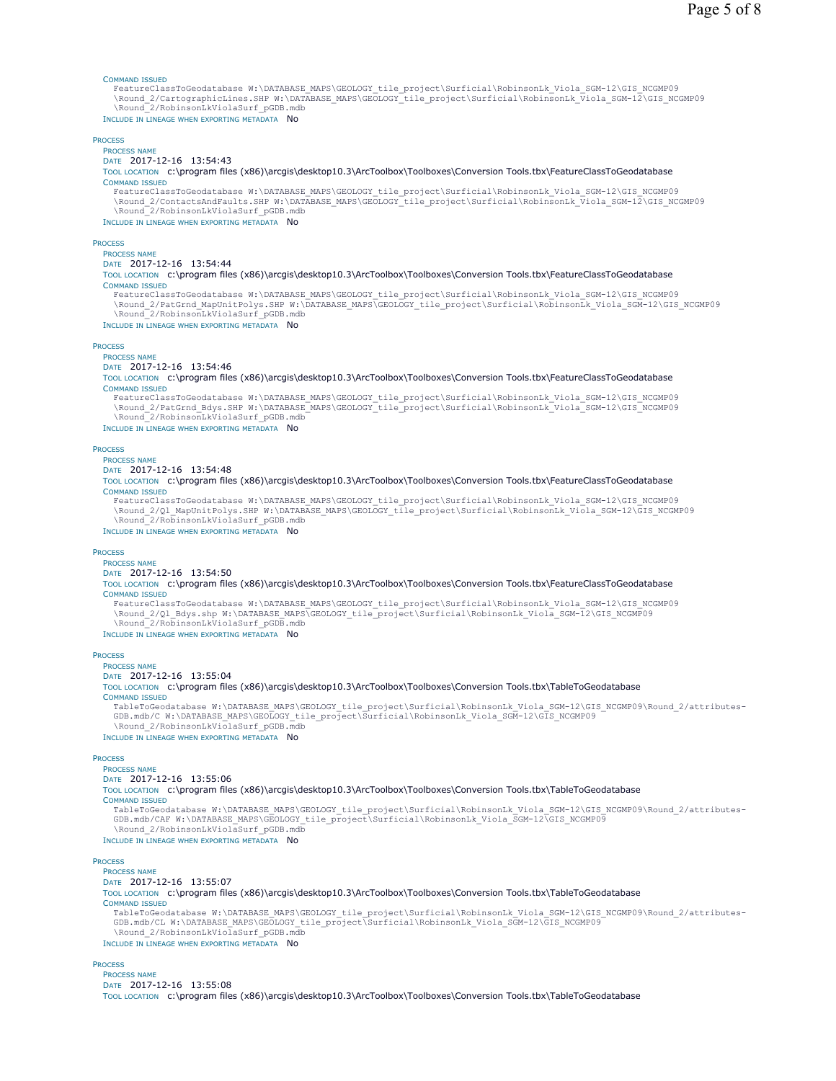### COMMAND ISSUED

FeatureClassToGeodatabase W:\DATABASE\_MAPS\GEOLOGY\_tile\_project\Surficial\RobinsonLk\_Viola\_SGM-12\GIS\_NCGMP09<br>\Round\_2/CartographicLines.SHP W:\DATABASE\_MAPS\GEOLOGY\_tile\_project\Surficial\RobinsonLk\_Viola\_SGM-12\GIS\_NCGMP \Round\_2/RobinsonLkViolaSurf\_pGDB.mdb INCLUDE IN LINEAGE WHEN EXPORTING METADATA NO

# **PROCESS**

PROCESS NAME DATE 2017-12-16 13:54:43

TOOL LOCATION c:\program files (x86)\arcgis\desktop10.3\ArcToolbox\Toolboxes\Conversion Tools.tbx\FeatureClassToGeodatabase COMMAND ISSUED

FeatureClassToGeodatabase W:\DATABASE\_MAPS\GEOLOGY\_tile\_project\Surficial\RobinsonLk\_Viola\_SGM-12\GIS\_NCGMP09<br>\Round\_2/ContactsAndFaults.SHP W:\DATABASE\_MAPS\GEOLOGY\_tile\_project\Surficial\RobinsonLk\_Viola\_SGM-12\GIS\_NCGMP \Round\_2/RobinsonLkViolaSurf\_pGDB.mdb

INCLUDE IN LINEAGE WHEN EXPORTING METADATA No

### **PROCESS**

PROCESS NAME

# DATE 2017-12-16 13:54:44

TOOL LOCATION c:\program files (x86)\arcgis\desktop10.3\ArcToolbox\Toolboxes\Conversion Tools.tbx\FeatureClassToGeodatabase COMMAND ISSUED

FeatureClassToGeodatabase W:\DATABASE\_MAPS\GEOLOGY\_tile\_project\Surficial\RobinsonLk\_Viola\_SGM-12\GIS\_NCGMP09 \Round\_2/PatGrnd\_MapUnitPolys.SHP W:\DATABASE\_MAPS\GEOLOGY\_tile\_project\Surficial\RobinsonLk\_Viola\_SGM-12\GIS\_NCGMP09 \Round\_2/RobinsonLkViolaSurf\_pGDB.mdb

INCLUDE IN LINEAGE WHEN EXPORTING METADATA NO

# PROCESS

PROCESS NAME

# DATE 2017-12-16 13:54:46

TOOL LOCATION c:\program files (x86)\arcgis\desktop10.3\ArcToolbox\Toolboxes\Conversion Tools.tbx\FeatureClassToGeodatabase COMMAND ISSUED

FeatureClassToGeodatabase W:\DATABASE\_MAPS\GEOLOGY\_tile\_project\Surficial\RobinsonLk\_Viola\_SGM-12\GIS\_NCGMP09 \Round\_2/PatGrnd\_Bdys.SHP W:\DATABASE\_MAPS\GEOLOGY\_tile\_project\Surficial\RobinsonLk\_Viola\_SGM-12\GIS\_NCGMP09 \Round\_2/RobinsonLkViolaSurf\_pGDB.mdb

INCLUDE IN LINEAGE WHEN EXPORTING METADATA No

# **PROCESS**

#### PROCESS NAME DATE 2017-12-16 13:54:48

TOOL LOCATION c:\program files (x86)\arcgis\desktop10.3\ArcToolbox\Toolboxes\Conversion Tools.tbx\FeatureClassToGeodatabase COMMAND ISSUED

FeatureClassToGeodatabase W:\DATABASE\_MAPS\GEOLOGY\_tile\_project\Surficial\RobinsonLk\_Viola\_SGM-12\GIS\_NCGMP09 \Round\_2/Ql\_MapUnitPolys.SHP W:\DATABASE\_MAPS\GEOLOGY\_tile\_project\Surficial\RobinsonLk\_Viola\_SGM-12\GIS\_NCGMP09 \Round\_2/RobinsonLkViolaSurf\_pGDB.mdb

INCLUDE IN LINEAGE WHEN EXPORTING METADATA NO

### **PROCESS**

# PROCESS NAME

DATE 2017-12-16 13:54:50

TOOL LOCATION c:\program files (x86)\arcgis\desktop10.3\ArcToolbox\Toolboxes\Conversion Tools.tbx\FeatureClassToGeodatabase COMMAND ISSUED

FeatureClassToGeodatabase W:\DATABASE\_MAPS\GEOLOGY\_tile\_project\Surficial\RobinsonLk\_Viola\_SGM-12\GIS\_NCGMP09 \Round\_2/Ql\_Bdys.shp W:\DATABASE\_MAPS\GEOLOGY\_tile\_project\Surficial\RobinsonLk\_Viola\_SGM-12\GIS\_NCGMP09 \Round\_2/RobinsonLkViolaSurf\_pGDB.mdb

### INCLUDE IN LINEAGE WHEN EXPORTING METADATA NO

**PROCESS** 

# PROCESS NAME

DATE 2017-12-16 13:55:04

TOOL LOCATION c:\program files (x86)\arcgis\desktop10.3\ArcToolbox\Toolboxes\Conversion Tools.tbx\TableToGeodatabase COMMAND ISSUED

TableToGeodatabase W:\DATABASE\_MAPS\GEOLOGY\_tile\_project\Surficial\RobinsonLk\_Viola\_SGM-12\GIS\_NCGMP09\Round\_2/attributes-GDB.mdb/C W:\DATABASE\_MAPS\GEOLOGY\_tile\_project\Surficial\RobinsonLk\_Viola\_SGM-12\GIS\_NCGMP09 \Round\_2/RobinsonLkViolaSurf\_pGDB.mdb

INCLUDE IN LINEAGE WHEN EXPORTING METADATA NO

### **PROCESS**

# PROCESS NAME

DATE 2017-12-16 13:55:06

TOOL LOCATION c:\program files (x86)\arcgis\desktop10.3\ArcToolbox\Toolboxes\Conversion Tools.tbx\TableToGeodatabase COMMAND ISSUED

TableToGeodatabase W:\DATABASE\_MAPS\GEOLOGY\_tile\_project\Surficial\RobinsonLk\_Viola\_SGM-12\GIS\_NCGMP09\Round\_2/attributes-<br>GDB.mdb/CAF W:\DATABASE\_MAPS\GEOLOGY\_tile\_project\Surficial\RobinsonLk\_Viola\_SGM-12\GIS\_NCGMP09 \Round\_2/RobinsonLkViolaSurf\_pGDB.mdb

INCLUDE IN LINEAGE WHEN EXPORTING METADATA NO

### **PROCESS**

### PROCESS NAME DATE 2017-12-16 13:55:07

TOOL LOCATION c:\program files (x86)\arcgis\desktop10.3\ArcToolbox\Toolboxes\Conversion Tools.tbx\TableToGeodatabase COMMAND ISSUED

TableToGeodatabase W:\DATABASE\_MAPS\GEOLOGY\_tile\_project\Surficial\RobinsonLk\_Viola\_SGM-12\GIS\_NCGMP09\Round\_2/attributes-GDB.mdb/CL W:\DATABASE\_MAPS\GEOLOGY\_tile\_project\Surficial\RobinsonLk\_Viola\_SGM-12\GIS\_NCGMP09 \Round\_2/RobinsonLkViolaSurf\_pGDB.mdb

INCLUDE IN LINEAGE WHEN EXPORTING METADATA NO

### **PROCESS**

PROCESS NAME DATE 2017-12-16 13:55:08

TOOL LOCATION c:\program files (x86)\arcgis\desktop10.3\ArcToolbox\Toolboxes\Conversion Tools.tbx\TableToGeodatabase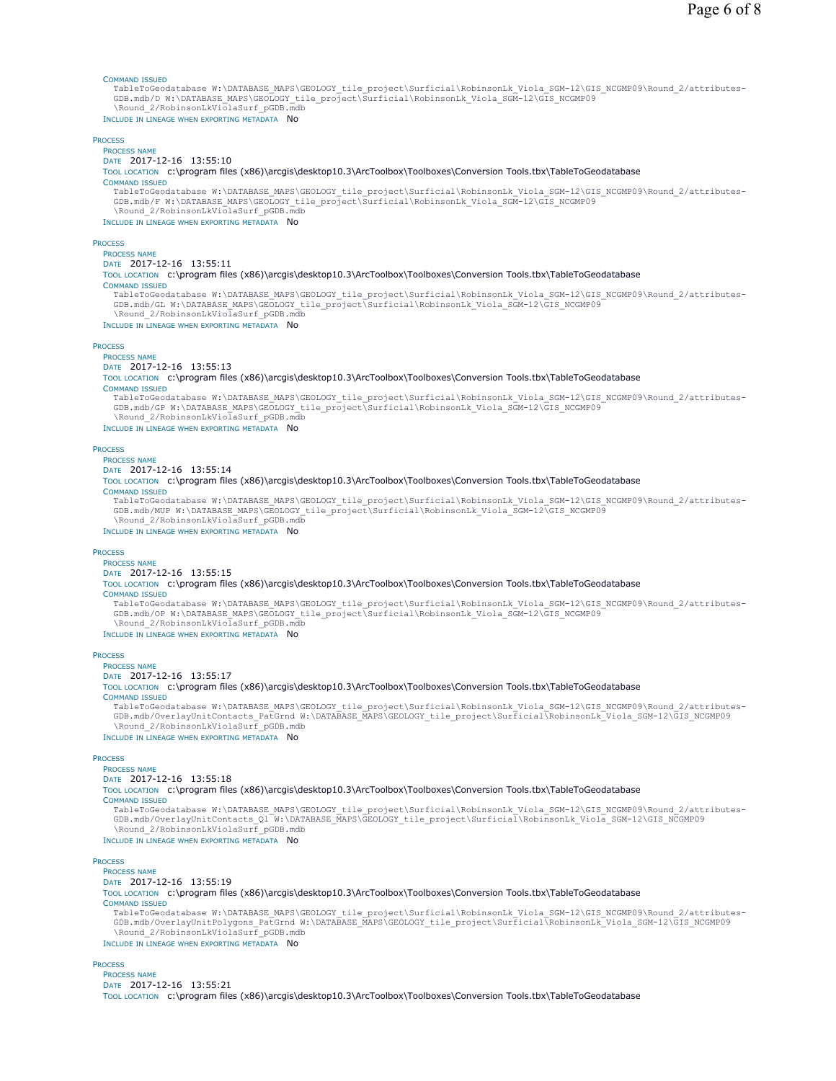### COMMAND ISSUED

TableToGeodatabase W:\DATABASE\_MAPS\GEOLOGY\_tile\_project\Surficial\RobinsonLk\_Viola\_SGM-12\GIS\_NCGMP09\Round\_2/attributes-<br>GDB.mdb/D W:\DATABASE\_MAPS\GEOLOGY\_tile\_project\Surficial\RobinsonLk\_Viola\_SGM-12\GIS\_NCGMP09 \Round\_2/RobinsonLkViolaSurf\_pGDB.mdb INCLUDE IN LINEAGE WHEN EXPORTING METADATA NO

# **PROCESS**

PROCESS NAME DATE 2017-12-16 13:55:10 TOOL LOCATION c:\program files (x86)\arcgis\desktop10.3\ArcToolbox\Toolboxes\Conversion Tools.tbx\TableToGeodatabase COMMAND ISSUED TableToGeodatabase W:\DATABASE\_MAPS\GEOLOGY\_tile\_project\Surficial\RobinsonLk\_Viola\_SGM-12\GIS\_NCGMP09\Round\_2/attributes-GDB.mdb/F W:\DATABASE\_MAPS\GEOLOGY\_tile\_project\Surficial\RobinsonLk\_Viola\_SGM-12\GIS\_NCGMP09 \Round\_2/RobinsonLkViolaSurf\_pGDB.mdb INCLUDE IN LINEAGE WHEN EXPORTING METADATA No **PROCESS** PROCESS NAME DATE 2017-12-16 13:55:11 TOOL LOCATION c:\program files (x86)\arcgis\desktop10.3\ArcToolbox\Toolboxes\Conversion Tools.tbx\TableToGeodatabase COMMAND ISSUED TableToGeodatabase W:\DATABASE\_MAPS\GEOLOGY\_tile\_project\Surficial\RobinsonLk\_Viola\_SGM-12\GIS\_NCGMP09\Round\_2/attributes-GDB.mdb/GL W:\DATABASE\_MAPS\GEOLOGY\_tile\_project\Surficial\RobinsonLk\_Viola\_SGM-12\GIS\_NCGMP09 \Round\_2/RobinsonLkViolaSurf\_pGDB.mdb

INCLUDE IN LINEAGE WHEN EXPORTING METADATA NO

### PROCESS

PROCESS NAME

# DATE 2017-12-16 13:55:13

TOOL LOCATION c:\program files (x86)\arcgis\desktop10.3\ArcToolbox\Toolboxes\Conversion Tools.tbx\TableToGeodatabase COMMAND ISSUED

TableToGeodatabase W:\DATABASE\_MAPS\GEOLOGY\_tile\_project\Surficial\RobinsonLk\_Viola\_SGM-12\GIS\_NCGMP09\Round\_2/attributes-GDB.mdb/GP W:\DATABASE\_MAPS\GEOLOGY\_tile\_project\Surficial\RobinsonLk\_Viola\_SGM-12\GIS\_NCGMP09 \Round\_2/RobinsonLkViolaSurf\_pGDB.mdb

INCLUDE IN LINEAGE WHEN EXPORTING METADATA No

#### **PROCESS** PROCESS NAME

# DATE 2017-12-16 13:55:14

TOOL LOCATION c:\program files (x86)\arcgis\desktop10.3\ArcToolbox\Toolboxes\Conversion Tools.tbx\TableToGeodatabase COMMAND ISSUED

TableToGeodatabase W:\DATABASE\_MAPS\GEOLOGY\_tile\_project\Surficial\RobinsonLk\_Viola\_SGM-12\GIS\_NCGMP09\Round\_2/attributes-<br>GDB.mdb/MUP W:\DATABASE\_MAPS\GEOLOGY\_tile\_project\Surficial\RobinsonLk\_Viola\_SGM-12\GIS\_NCGMP09 \Round\_2/RobinsonLkViolaSurf\_pGDB.mdb

INCLUDE IN LINEAGE WHEN EXPORTING METADATA NO

### **PROCESS**

#### PROCESS NAME DATE 2017-12-16 13:55:15

# TOOL LOCATION c:\program files (x86)\arcgis\desktop10.3\ArcToolbox\Toolboxes\Conversion Tools.tbx\TableToGeodatabase

COMMAND ISSUED

TableToGeodatabase W:\DATABASE\_MAPS\GEOLOGY\_tile\_project\Surficial\RobinsonLk\_Viola\_SGM-12\GIS\_NCGMP09\Round\_2/attributes-GDB.mdb/OP W:\DATABASE\_MAPS\GEOLOGY\_tile\_project\Surficial\RobinsonLk\_Viola\_SGM-12\GIS\_NCGMP09 \Round\_2/RobinsonLkViolaSurf\_pGDB.mdb

INCLUDE IN LINEAGE WHEN EXPORTING METADATA NO

# **PROCESS**

PROCESS NAME

# DATE 2017-12-16 13:55:17

TOOL LOCATION c:\program files (x86)\arcgis\desktop10.3\ArcToolbox\Toolboxes\Conversion Tools.tbx\TableToGeodatabase COMMAND ISSUED

TableToGeodatabase W:\DATABASE\_MAPS\GEOLOGY\_tile\_project\Surficial\RobinsonLk\_Viola\_SGM-12\GIS\_NCGMP09\Round\_2/attributes-GDB.mdb/OverlayUnitContacts\_PatGrnd W:\DATABASE\_MAPS\GEOLOGY\_tile\_project\Surficial\RobinsonLk\_Viola\_SGM-12\GIS\_NCGMP09 \Round 2/RobinsonLkViolaSurf\_pGDB.mdb

INCLUDE IN LINEAGE WHEN EXPORTING METADATA NO

### **PROCESS**

# PROCESS NAME

DATE 2017-12-16 13:55:18

TOOL LOCATION c:\program files (x86)\arcgis\desktop10.3\ArcToolbox\Toolboxes\Conversion Tools.tbx\TableToGeodatabase COMMAND ISSUED

TableToGeodatabase W:\DATABASE\_MAPS\GEOLOGY\_tile\_project\Surficial\RobinsonLk\_Viola\_SGM-12\GIS\_NCGMP09\Round\_2/attributes-<br>GDB.mdb/OverlayUnitContacts Ql W:\DATABASE MAPS\GEOLOGY tile project\Surficial\RobinsonLk Viola SGM \Round\_2/RobinsonLkViolaSurf\_pGDB.mdb

INCLUDE IN LINEAGE WHEN EXPORTING METADATA NO

# **PROCESS**

### PROCESS NAME DATE 2017-12-16 13:55:19

TOOL LOCATION c:\program files (x86)\arcgis\desktop10.3\ArcToolbox\Toolboxes\Conversion Tools.tbx\TableToGeodatabase COMMAND ISSUED

TableToGeodatabase W:\DATABASE\_MAPS\GEOLOGY\_tile\_project\Surficial\RobinsonLk\_Viola\_SGM-12\GIS\_NCGMP09\Round\_2/attributes-GDB.mdb/OverlayUnitPolygons\_PatGrnd W:\DATABASE\_MAPS\GEOLOGY\_tile\_project\Surficial\RobinsonLk\_Viola\_SGM-12\GIS\_NCGMP09 \Round 2/RobinsonLkViolaSurf\_pGDB.mdb

INCLUDE IN LINEAGE WHEN EXPORTING METADATA NO

# **PROCESS**

PROCESS NAME DATE 2017-12-16 13:55:21

TOOL LOCATION c:\program files (x86)\arcgis\desktop10.3\ArcToolbox\Toolboxes\Conversion Tools.tbx\TableToGeodatabase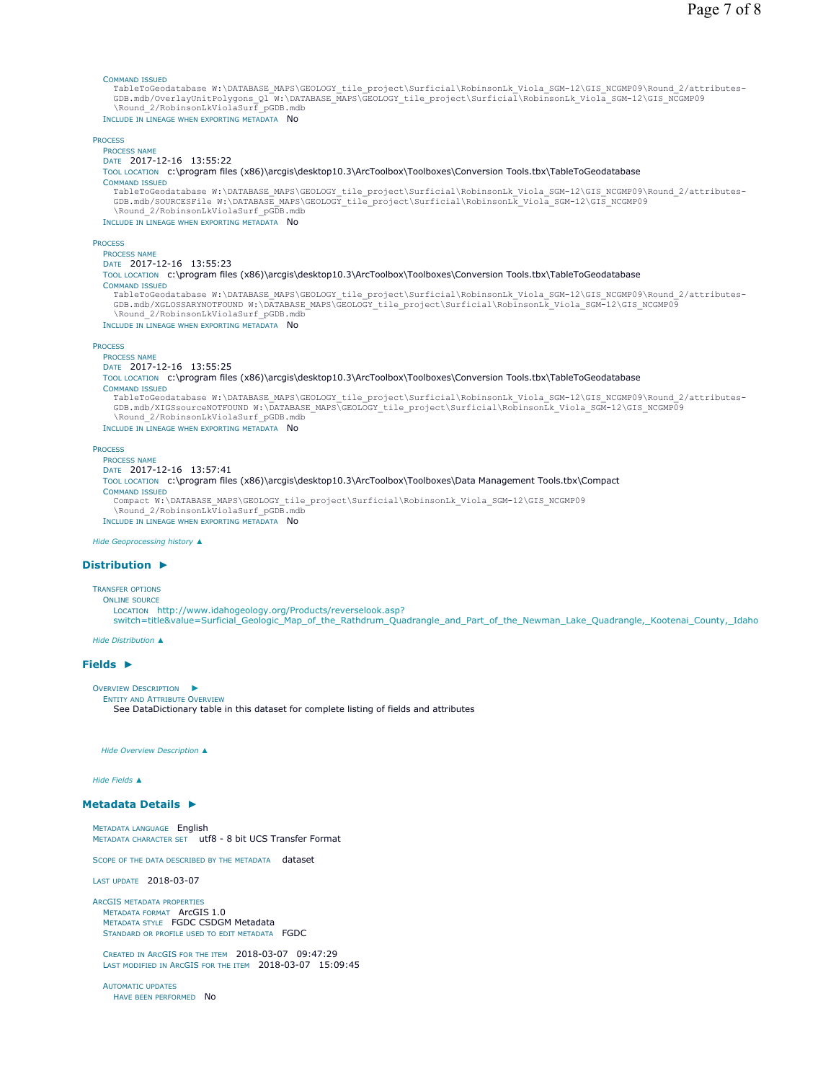## COMMAND ISSUED

TableToGeodatabase W:\DATABASE\_MAPS\GEOLOGY\_tile\_project\Surficial\RobinsonLk\_Viola\_SGM-12\GIS\_NCGMP09\Round\_2/attributes-<br>GDB.mdb/OverlayUnitPolygons Ql W:\DATABASE MAPS\GEOLOGY tile project\Surficial\RobinsonLk Viola SGM \Round\_2/RobinsonLkViolaSurf\_pGDB.mdb INCLUDE IN LINEAGE WHEN EXPORTING METADATA No

```
PROCESS
  PROCESS NAME
  DATE 2017-12-16 13:55:22 
  TOOL LOCATION c:\program files (x86)\arcgis\desktop10.3\ArcToolbox\Toolboxes\Conversion Tools.tbx\TableToGeodatabase
  COMMAND ISSUED
    TableToGeodatabase W:\DATABASE_MAPS\GEOLOGY_tile_project\Surficial\RobinsonLk_Viola_SGM-12\GIS_NCGMP09\Round_2/attributes-
    GDB.mdb/SOURCESFile W:\DATABASE_MAPS\GEOLOGY_tile_project\Surficial\RobinsonLk_Viola_SGM-12\GIS_NCGMP09
    \Round_2/RobinsonLkViolaSurf_pGDB.mdb
 INCLUDE IN LINEAGE WHEN EXPORTING METADATA No
PROCESS
  PROCESS NAME
  DATE 2017-12-16 13:55:23 
  TOOL LOCATION c:\program files (x86)\arcgis\desktop10.3\ArcToolbox\Toolboxes\Conversion Tools.tbx\TableToGeodatabase 
  COMMAND ISSUED
    TableToGeodatabase W:\DATABASE_MAPS\GEOLOGY_tile_project\Surficial\RobinsonLk_Viola_SGM-12\GIS_NCGMP09\Round_2/attributes-
    GDB.mdb/XGLOSSARYNOTFOUND W:\DATABASE_MAPS\GEOLOGY_tile_project\Surficial\RobinsonLk_Viola_SGM-12\GIS_NCGMP09
    \Round_2/RobinsonLkViolaSurf_pGDB.mdb
 INCLUDE IN LINEAGE WHEN EXPORTING METADATA NO
PROCESS
  PROCESS NAME
  DATE 2017-12-16 13:55:25 
  TOOL LOCATION c:\program files (x86)\arcgis\desktop10.3\ArcToolbox\Toolboxes\Conversion Tools.tbx\TableToGeodatabase
  COMMAND ISSUED
    TableToGeodatabase W:\DATABASE_MAPS\GEOLOGY_tile_project\Surficial\RobinsonLk_Viola_SGM-12\GIS_NCGMP09\Round_2/attributes-<br>GDB.mdb/XIGSsourceNOTFOUND W:\DATABASE_MAPS\GEOLOGY_tile_project\Surficial\RobinsonLk_Viola_SGM-12\
    \Round_2/RobinsonLkViolaSurf_pGDB.mdb
 INCLUDE IN LINEAGE WHEN EXPORTING METADATA No
PROCESS
  PROCESS NAME
  DATE 2017-12-16 13:57:41 
  TOOL LOCATION c:\program files (x86)\arcgis\desktop10.3\ArcToolbox\Toolboxes\Data Management Tools.tbx\Compact 
  COMMAND ISSUED
```
Compact W:\DATABASE\_MAPS\GEOLOGY\_tile\_project\Surficial\RobinsonLk\_Viola\_SGM-12\GIS\_NCGMP09

\Round 2/RobinsonLkViolaSurf pGDB.mdb INCLUDE IN LINEAGE WHEN EXPORTING METADATA NO

*Hide Geoprocessing history ▲*

### **Distribution ►**

TRANSFER OPTIONS ONLINE SOURCE

LOCATION http://www.idahogeology.org/Products/reverselook.asp?

switch=title&value=Surficial Geologic\_Map\_of\_the\_Rathdrum\_Quadrangle\_and\_Part\_of\_the\_Newman\_Lake\_Quadrangle,\_Kootenai\_County,\_Idaho

*Hide Distribution ▲*

# **Fields ►**

```
OVERVIEW DESCRIPTION
                     ►
```
ENTITY AND ATTRIBUTE OVERVIEW See DataDictionary table in this dataset for complete listing of fields and attributes

*Hide Overview Description ▲*

# *Hide Fields ▲*

### **Metadata Details ►**

METADATA LANGUAGE English METADATA CHARACTER SET utf8 - 8 bit UCS Transfer Format

SCOPE OF THE DATA DESCRIBED BY THE METADATA dataset

LAST UPDATE 2018-03-07

ARCGIS METADATA PROPERTIES METADATA FORMAT ArcGIS 1.0 METADATA STYLE FGDC CSDGM Metadata STANDARD OR PROFILE USED TO EDIT METADATA FGDC

CREATED IN ARCGIS FOR THE ITEM 2018-03-07 09:47:29 LAST MODIFIED IN ARCGIS FOR THE ITEM 2018-03-07 15:09:45

AUTOMATIC UPDATES HAVE BEEN PERFORMED NO